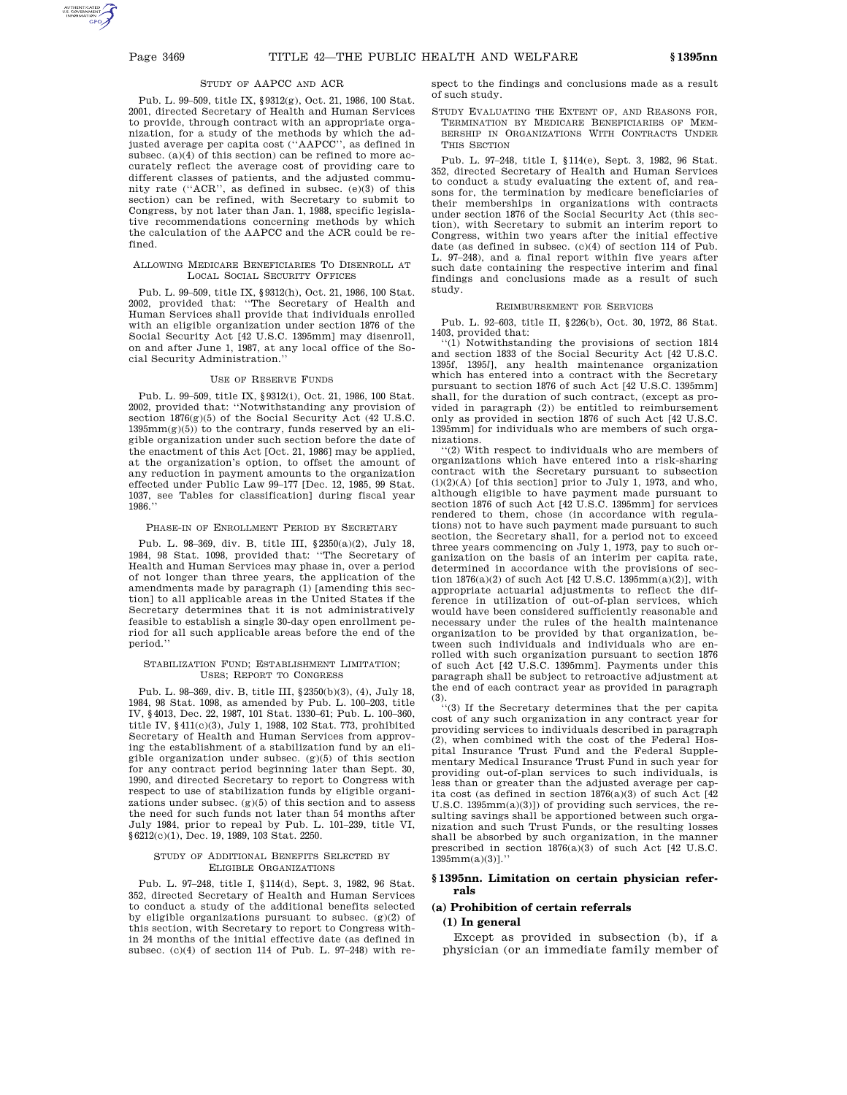## STUDY OF AAPCC AND ACR

Pub. L. 99–509, title IX, §9312(g), Oct. 21, 1986, 100 Stat. 2001, directed Secretary of Health and Human Services to provide, through contract with an appropriate organization, for a study of the methods by which the adjusted average per capita cost (''AAPCC'', as defined in subsec. (a)(4) of this section) can be refined to more accurately reflect the average cost of providing care to different classes of patients, and the adjusted community rate (''ACR'', as defined in subsec. (e)(3) of this section) can be refined, with Secretary to submit to Congress, by not later than Jan. 1, 1988, specific legislative recommendations concerning methods by which the calculation of the AAPCC and the ACR could be refined.

#### ALLOWING MEDICARE BENEFICIARIES TO DISENROLL AT LOCAL SOCIAL SECURITY OFFICES

Pub. L. 99–509, title IX, §9312(h), Oct. 21, 1986, 100 Stat. 2002, provided that: ''The Secretary of Health and Human Services shall provide that individuals enrolled with an eligible organization under section 1876 of the Social Security Act [42 U.S.C. 1395mm] may disenroll, on and after June 1, 1987, at any local office of the Social Security Administration.''

#### USE OF RESERVE FUNDS

Pub. L. 99–509, title IX, §9312(i), Oct. 21, 1986, 100 Stat. 2002, provided that: ''Notwithstanding any provision of section 1876(g)(5) of the Social Security Act (42 U.S.C.  $1395mm(g)(5)$ ) to the contrary, funds reserved by an eligible organization under such section before the date of the enactment of this Act [Oct. 21, 1986] may be applied, at the organization's option, to offset the amount of any reduction in payment amounts to the organization effected under Public Law 99–177 [Dec. 12, 1985, 99 Stat. 1037, see Tables for classification] during fiscal year 1986.''

#### PHASE-IN OF ENROLLMENT PERIOD BY SECRETARY

Pub. L. 98–369, div. B, title III, §2350(a)(2), July 18, 1984, 98 Stat. 1098, provided that: ''The Secretary of Health and Human Services may phase in, over a period of not longer than three years, the application of the amendments made by paragraph (1) [amending this section] to all applicable areas in the United States if the Secretary determines that it is not administratively feasible to establish a single 30-day open enrollment period for all such applicable areas before the end of the period.''

#### STABILIZATION FUND; ESTABLISHMENT LIMITATION; USES; REPORT TO CONGRESS

Pub. L. 98–369, div. B, title III, §2350(b)(3), (4), July 18, 1984, 98 Stat. 1098, as amended by Pub. L. 100–203, title IV, §4013, Dec. 22, 1987, 101 Stat. 1330–61; Pub. L. 100–360, title IV, §411(c)(3), July 1, 1988, 102 Stat. 773, prohibited Secretary of Health and Human Services from approving the establishment of a stabilization fund by an eligible organization under subsec. (g)(5) of this section for any contract period beginning later than Sept. 30, 1990, and directed Secretary to report to Congress with respect to use of stabilization funds by eligible organizations under subsec.  $(g)(5)$  of this section and to assess the need for such funds not later than 54 months after July 1984, prior to repeal by Pub. L. 101–239, title VI, §6212(c)(1), Dec. 19, 1989, 103 Stat. 2250.

#### STUDY OF ADDITIONAL BENEFITS SELECTED BY ELIGIBLE ORGANIZATIONS

Pub. L. 97–248, title I, §114(d), Sept. 3, 1982, 96 Stat. 352, directed Secretary of Health and Human Services to conduct a study of the additional benefits selected by eligible organizations pursuant to subsec. (g)(2) of this section, with Secretary to report to Congress within 24 months of the initial effective date (as defined in subsec. (c)(4) of section 114 of Pub. L. 97–248) with respect to the findings and conclusions made as a result of such study.

STUDY EVALUATING THE EXTENT OF, AND REASONS FOR, TERMINATION BY MEDICARE BENEFICIARIES OF MEM-BERSHIP IN ORGANIZATIONS WITH CONTRACTS UNDER THIS SECTION

Pub. L. 97–248, title I, §114(e), Sept. 3, 1982, 96 Stat. 352, directed Secretary of Health and Human Services to conduct a study evaluating the extent of, and reasons for, the termination by medicare beneficiaries of their memberships in organizations with contracts under section 1876 of the Social Security Act (this section), with Secretary to submit an interim report to Congress, within two years after the initial effective date (as defined in subsec. (c)(4) of section 114 of Pub. L. 97–248), and a final report within five years after such date containing the respective interim and final findings and conclusions made as a result of such study.

#### REIMBURSEMENT FOR SERVICES

Pub. L. 92–603, title II, §226(b), Oct. 30, 1972, 86 Stat. 1403, provided that:

''(1) Notwithstanding the provisions of section 1814 and section 1833 of the Social Security Act [42 U.S.C. 1395f, 1395*l*], any health maintenance organization which has entered into a contract with the Secretary pursuant to section 1876 of such Act [42 U.S.C. 1395mm] shall, for the duration of such contract, (except as provided in paragraph (2)) be entitled to reimbursement only as provided in section 1876 of such Act [42 U.S.C. 1395mm] for individuals who are members of such orga-

nizations. ''(2) With respect to individuals who are members of organizations which have entered into a risk-sharing contract with the Secretary pursuant to subsection  $(i)(2)(A)$  [of this section] prior to July 1, 1973, and who, although eligible to have payment made pursuant to section 1876 of such Act [42 U.S.C. 1395mm] for services rendered to them, chose (in accordance with regulations) not to have such payment made pursuant to such section, the Secretary shall, for a period not to exceed three years commencing on July 1, 1973, pay to such organization on the basis of an interim per capita rate, determined in accordance with the provisions of section 1876(a)(2) of such Act [42 U.S.C. 1395mm(a)(2)], with appropriate actuarial adjustments to reflect the difference in utilization of out-of-plan services, which would have been considered sufficiently reasonable and necessary under the rules of the health maintenance organization to be provided by that organization, between such individuals and individuals who are enrolled with such organization pursuant to section 1876 of such Act [42 U.S.C. 1395mm]. Payments under this paragraph shall be subject to retroactive adjustment at the end of each contract year as provided in paragraph

(3). ''(3) If the Secretary determines that the per capita cost of any such organization in any contract year for providing services to individuals described in paragraph (2), when combined with the cost of the Federal Hospital Insurance Trust Fund and the Federal Supplementary Medical Insurance Trust Fund in such year for providing out-of-plan services to such individuals, is less than or greater than the adjusted average per capita cost (as defined in section 1876(a)(3) of such Act [42 U.S.C. 1395mm(a)(3)]) of providing such services, the resulting savings shall be apportioned between such organization and such Trust Funds, or the resulting losses shall be absorbed by such organization, in the manner prescribed in section  $1876(a)(3)$  of such Act  $[42 \text{ U.S.C.}]$  $1395mm(a)(3)$ ].

#### **§ 1395nn. Limitation on certain physician referrals**

## **(a) Prohibition of certain referrals (1) In general**

Except as provided in subsection (b), if a physician (or an immediate family member of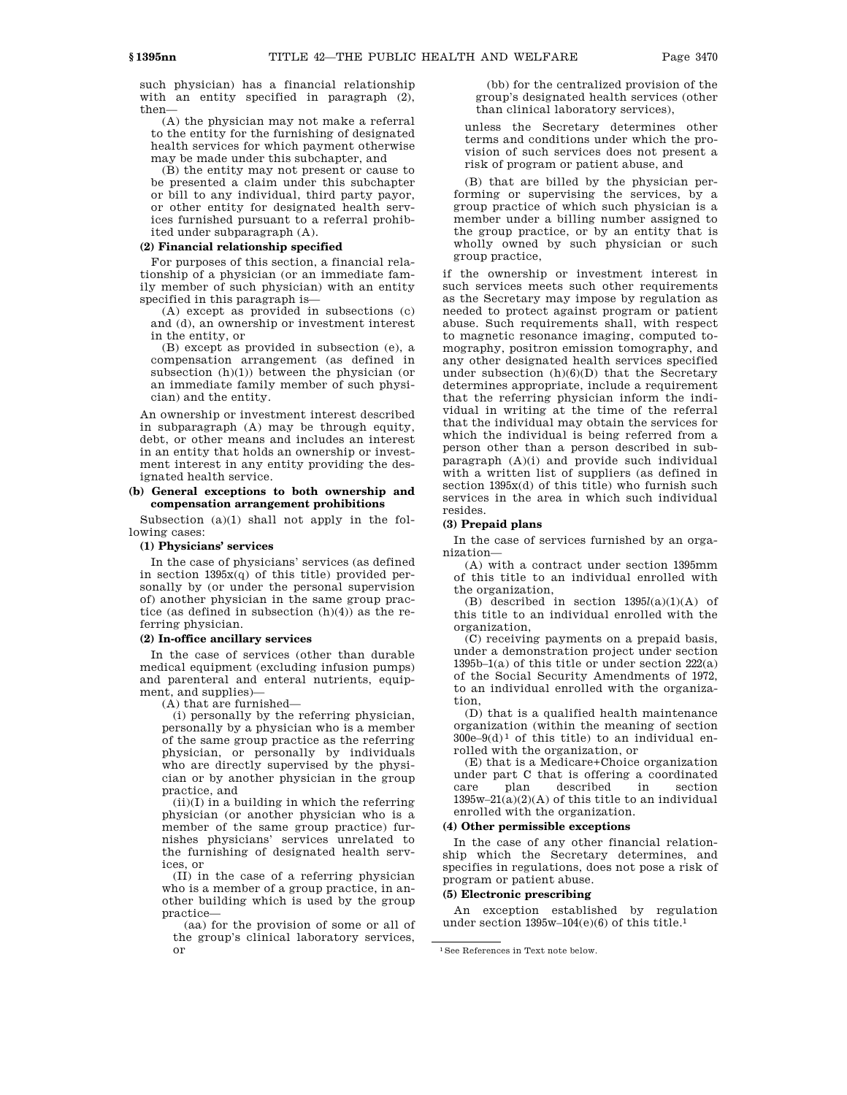such physician) has a financial relationship with an entity specified in paragraph (2), then—

(A) the physician may not make a referral to the entity for the furnishing of designated health services for which payment otherwise may be made under this subchapter, and

(B) the entity may not present or cause to be presented a claim under this subchapter or bill to any individual, third party payor, or other entity for designated health services furnished pursuant to a referral prohibited under subparagraph (A).

#### **(2) Financial relationship specified**

For purposes of this section, a financial relationship of a physician (or an immediate family member of such physician) with an entity specified in this paragraph is—

(A) except as provided in subsections (c) and (d), an ownership or investment interest in the entity, or

(B) except as provided in subsection (e), a compensation arrangement (as defined in subsection  $(h)(1)$ ) between the physician (or an immediate family member of such physician) and the entity.

An ownership or investment interest described in subparagraph (A) may be through equity, debt, or other means and includes an interest in an entity that holds an ownership or investment interest in any entity providing the designated health service.

#### **(b) General exceptions to both ownership and compensation arrangement prohibitions**

Subsection (a)(1) shall not apply in the following cases:

## **(1) Physicians' services**

In the case of physicians' services (as defined in section 1395x(q) of this title) provided personally by (or under the personal supervision of) another physician in the same group practice (as defined in subsection  $(h)(4)$ ) as the referring physician.

#### **(2) In-office ancillary services**

In the case of services (other than durable medical equipment (excluding infusion pumps) and parenteral and enteral nutrients, equipment, and supplies)—

(A) that are furnished—

(i) personally by the referring physician, personally by a physician who is a member of the same group practice as the referring physician, or personally by individuals who are directly supervised by the physician or by another physician in the group practice, and

 $(ii)(I)$  in a building in which the referring physician (or another physician who is a member of the same group practice) furnishes physicians' services unrelated to the furnishing of designated health services, or

(II) in the case of a referring physician who is a member of a group practice, in another building which is used by the group practice—

(aa) for the provision of some or all of the group's clinical laboratory services, or

(bb) for the centralized provision of the group's designated health services (other than clinical laboratory services),

unless the Secretary determines other terms and conditions under which the provision of such services does not present a risk of program or patient abuse, and

(B) that are billed by the physician performing or supervising the services, by a group practice of which such physician is a member under a billing number assigned to the group practice, or by an entity that is wholly owned by such physician or such group practice,

if the ownership or investment interest in such services meets such other requirements as the Secretary may impose by regulation as needed to protect against program or patient abuse. Such requirements shall, with respect to magnetic resonance imaging, computed tomography, positron emission tomography, and any other designated health services specified under subsection (h)(6)(D) that the Secretary determines appropriate, include a requirement that the referring physician inform the individual in writing at the time of the referral that the individual may obtain the services for which the individual is being referred from a person other than a person described in subparagraph (A)(i) and provide such individual with a written list of suppliers (as defined in section 1395x(d) of this title) who furnish such services in the area in which such individual resides.

#### **(3) Prepaid plans**

In the case of services furnished by an organization—

(A) with a contract under section 1395mm of this title to an individual enrolled with the organization,

(B) described in section  $1395l(a)(1)(A)$  of this title to an individual enrolled with the organization,

(C) receiving payments on a prepaid basis, under a demonstration project under section 1395b–1(a) of this title or under section  $222(a)$ of the Social Security Amendments of 1972, to an individual enrolled with the organization,

(D) that is a qualified health maintenance organization (within the meaning of section  $300e-9(d)<sup>1</sup>$  of this title) to an individual enrolled with the organization, or

(E) that is a Medicare+Choice organization under part C that is offering a coordinated care plan described in section  $1395w-21(a)(2)(A)$  of this title to an individual enrolled with the organization.

#### **(4) Other permissible exceptions**

In the case of any other financial relationship which the Secretary determines, and specifies in regulations, does not pose a risk of program or patient abuse.

## **(5) Electronic prescribing**

An exception established by regulation under section  $1395w-104(e)(6)$  of this title.<sup>1</sup>

<sup>1</sup>See References in Text note below.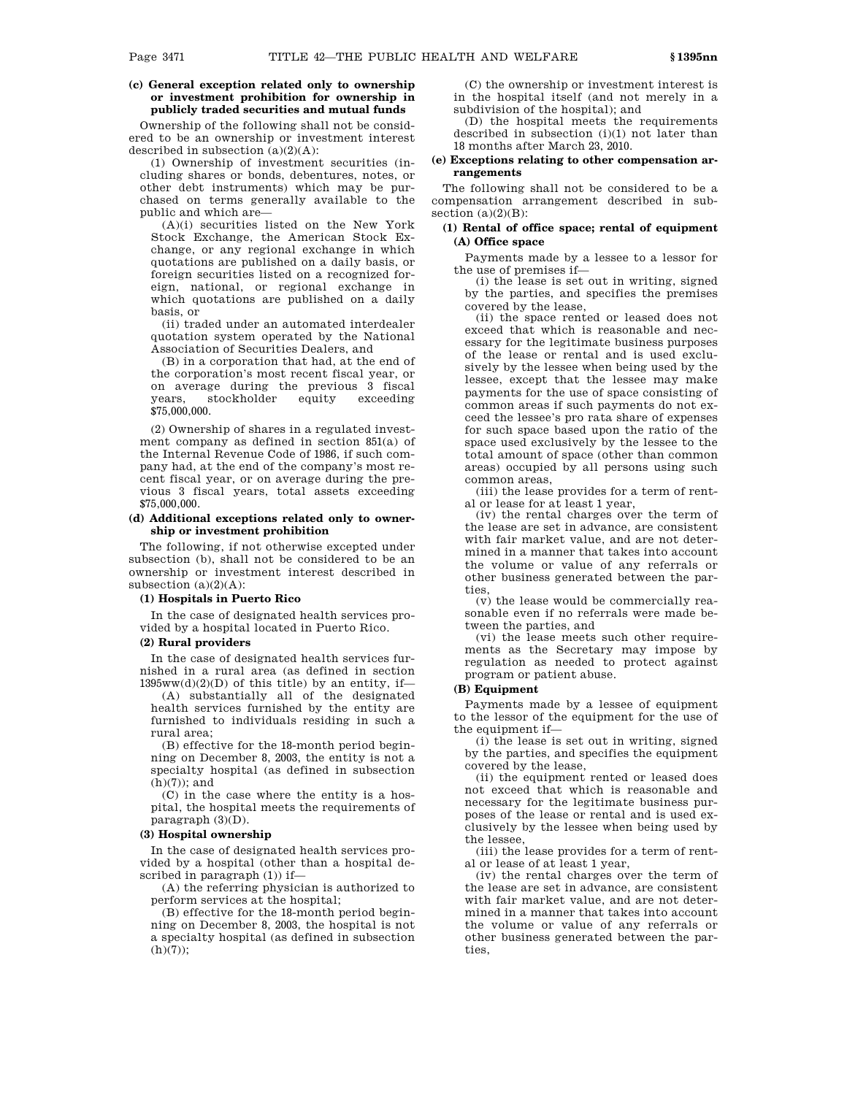# **(c) General exception related only to ownership or investment prohibition for ownership in publicly traded securities and mutual funds**

Ownership of the following shall not be considered to be an ownership or investment interest described in subsection  $(a)(2)(A)$ :

(1) Ownership of investment securities (including shares or bonds, debentures, notes, or other debt instruments) which may be purchased on terms generally available to the public and which are—

(A)(i) securities listed on the New York Stock Exchange, the American Stock Exchange, or any regional exchange in which quotations are published on a daily basis, or foreign securities listed on a recognized foreign, national, or regional exchange in which quotations are published on a daily basis, or

(ii) traded under an automated interdealer quotation system operated by the National Association of Securities Dealers, and

(B) in a corporation that had, at the end of the corporation's most recent fiscal year, or on average during the previous 3 fiscal years, stockholder equity exceeding \$75,000,000.

(2) Ownership of shares in a regulated investment company as defined in section 851(a) of the Internal Revenue Code of 1986, if such company had, at the end of the company's most recent fiscal year, or on average during the previous 3 fiscal years, total assets exceeding \$75,000,000.

## **(d) Additional exceptions related only to ownership or investment prohibition**

The following, if not otherwise excepted under subsection (b), shall not be considered to be an ownership or investment interest described in subsection  $(a)(2)(A)$ :

# **(1) Hospitals in Puerto Rico**

In the case of designated health services provided by a hospital located in Puerto Rico.

#### **(2) Rural providers**

In the case of designated health services furnished in a rural area (as defined in section  $1395ww(d)(2)(D)$  of this title) by an entity, if-

(A) substantially all of the designated health services furnished by the entity are furnished to individuals residing in such a rural area;

(B) effective for the 18-month period beginning on December 8, 2003, the entity is not a specialty hospital (as defined in subsection (h)(7)); and

(C) in the case where the entity is a hospital, the hospital meets the requirements of paragraph (3)(D).

## **(3) Hospital ownership**

In the case of designated health services provided by a hospital (other than a hospital described in paragraph (1)) if—

(A) the referring physician is authorized to perform services at the hospital;

(B) effective for the 18-month period beginning on December 8, 2003, the hospital is not a specialty hospital (as defined in subsection  $(h)(7)$ :

(C) the ownership or investment interest is in the hospital itself (and not merely in a subdivision of the hospital); and

(D) the hospital meets the requirements described in subsection (i)(1) not later than 18 months after March 23, 2010.

#### **(e) Exceptions relating to other compensation arrangements**

The following shall not be considered to be a compensation arrangement described in subsection  $(a)(2)(B)$ :

## **(1) Rental of office space; rental of equipment (A) Office space**

Payments made by a lessee to a lessor for the use of premises if—

(i) the lease is set out in writing, signed by the parties, and specifies the premises covered by the lease,

(ii) the space rented or leased does not exceed that which is reasonable and necessary for the legitimate business purposes of the lease or rental and is used exclusively by the lessee when being used by the lessee, except that the lessee may make payments for the use of space consisting of common areas if such payments do not exceed the lessee's pro rata share of expenses for such space based upon the ratio of the space used exclusively by the lessee to the total amount of space (other than common areas) occupied by all persons using such common areas,

(iii) the lease provides for a term of rental or lease for at least 1 year,

(iv) the rental charges over the term of the lease are set in advance, are consistent with fair market value, and are not determined in a manner that takes into account the volume or value of any referrals or other business generated between the parties,

(v) the lease would be commercially reasonable even if no referrals were made between the parties, and

(vi) the lease meets such other requirements as the Secretary may impose by regulation as needed to protect against program or patient abuse.

#### **(B) Equipment**

Payments made by a lessee of equipment to the lessor of the equipment for the use of the equipment if—

(i) the lease is set out in writing, signed by the parties, and specifies the equipment covered by the lease,

(ii) the equipment rented or leased does not exceed that which is reasonable and necessary for the legitimate business purposes of the lease or rental and is used exclusively by the lessee when being used by the lessee,

(iii) the lease provides for a term of rental or lease of at least 1 year,

(iv) the rental charges over the term of the lease are set in advance, are consistent with fair market value, and are not determined in a manner that takes into account the volume or value of any referrals or other business generated between the parties,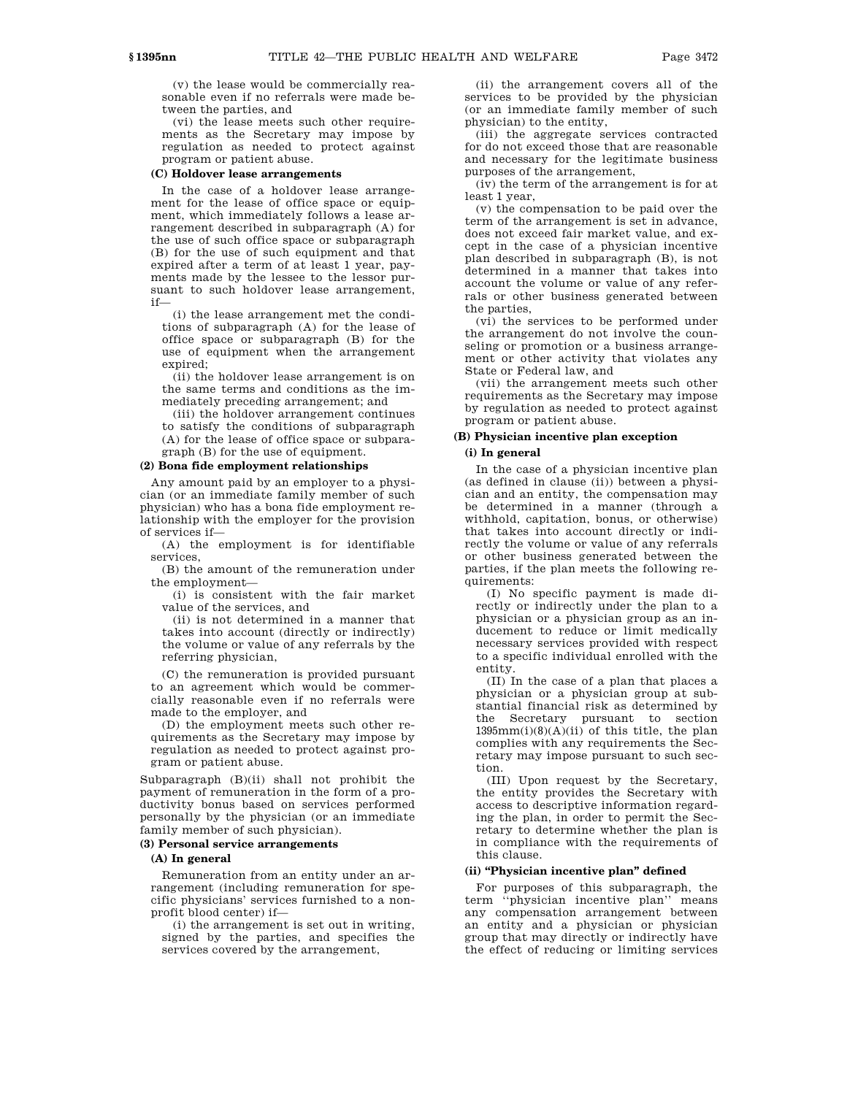(v) the lease would be commercially reasonable even if no referrals were made between the parties, and

(vi) the lease meets such other requirements as the Secretary may impose by regulation as needed to protect against program or patient abuse.

#### **(C) Holdover lease arrangements**

In the case of a holdover lease arrangement for the lease of office space or equipment, which immediately follows a lease arrangement described in subparagraph (A) for the use of such office space or subparagraph (B) for the use of such equipment and that expired after a term of at least 1 year, payments made by the lessee to the lessor pursuant to such holdover lease arrangement, if—

(i) the lease arrangement met the conditions of subparagraph (A) for the lease of office space or subparagraph (B) for the use of equipment when the arrangement expired;

(ii) the holdover lease arrangement is on the same terms and conditions as the immediately preceding arrangement; and

(iii) the holdover arrangement continues to satisfy the conditions of subparagraph (A) for the lease of office space or subparagraph (B) for the use of equipment.

#### **(2) Bona fide employment relationships**

Any amount paid by an employer to a physician (or an immediate family member of such physician) who has a bona fide employment relationship with the employer for the provision of services if—

(A) the employment is for identifiable services,

(B) the amount of the remuneration under the employment—

(i) is consistent with the fair market value of the services, and

(ii) is not determined in a manner that takes into account (directly or indirectly) the volume or value of any referrals by the referring physician,

(C) the remuneration is provided pursuant to an agreement which would be commercially reasonable even if no referrals were made to the employer, and

(D) the employment meets such other requirements as the Secretary may impose by regulation as needed to protect against program or patient abuse.

Subparagraph (B)(ii) shall not prohibit the payment of remuneration in the form of a productivity bonus based on services performed personally by the physician (or an immediate family member of such physician).

# **(3) Personal service arrangements**

## **(A) In general**

Remuneration from an entity under an arrangement (including remuneration for specific physicians' services furnished to a nonprofit blood center) if—

(i) the arrangement is set out in writing, signed by the parties, and specifies the services covered by the arrangement,

(ii) the arrangement covers all of the services to be provided by the physician (or an immediate family member of such physician) to the entity,

(iii) the aggregate services contracted for do not exceed those that are reasonable and necessary for the legitimate business purposes of the arrangement,

(iv) the term of the arrangement is for at least 1 year,

(v) the compensation to be paid over the term of the arrangement is set in advance, does not exceed fair market value, and except in the case of a physician incentive plan described in subparagraph (B), is not determined in a manner that takes into account the volume or value of any referrals or other business generated between the parties

(vi) the services to be performed under the arrangement do not involve the counseling or promotion or a business arrangement or other activity that violates any State or Federal law, and

(vii) the arrangement meets such other requirements as the Secretary may impose by regulation as needed to protect against program or patient abuse.

# **(B) Physician incentive plan exception**

## **(i) In general**

In the case of a physician incentive plan (as defined in clause (ii)) between a physician and an entity, the compensation may be determined in a manner (through a withhold, capitation, bonus, or otherwise) that takes into account directly or indirectly the volume or value of any referrals or other business generated between the parties, if the plan meets the following requirements:

(I) No specific payment is made directly or indirectly under the plan to a physician or a physician group as an inducement to reduce or limit medically necessary services provided with respect to a specific individual enrolled with the entity.

(II) In the case of a plan that places a physician or a physician group at substantial financial risk as determined by the Secretary pursuant to section  $1395mm(i)(8)(A)(ii)$  of this title, the plan complies with any requirements the Secretary may impose pursuant to such section.

(III) Upon request by the Secretary, the entity provides the Secretary with access to descriptive information regarding the plan, in order to permit the Secretary to determine whether the plan is in compliance with the requirements of this clause.

#### **(ii) ''Physician incentive plan'' defined**

For purposes of this subparagraph, the term ''physician incentive plan'' means any compensation arrangement between an entity and a physician or physician group that may directly or indirectly have the effect of reducing or limiting services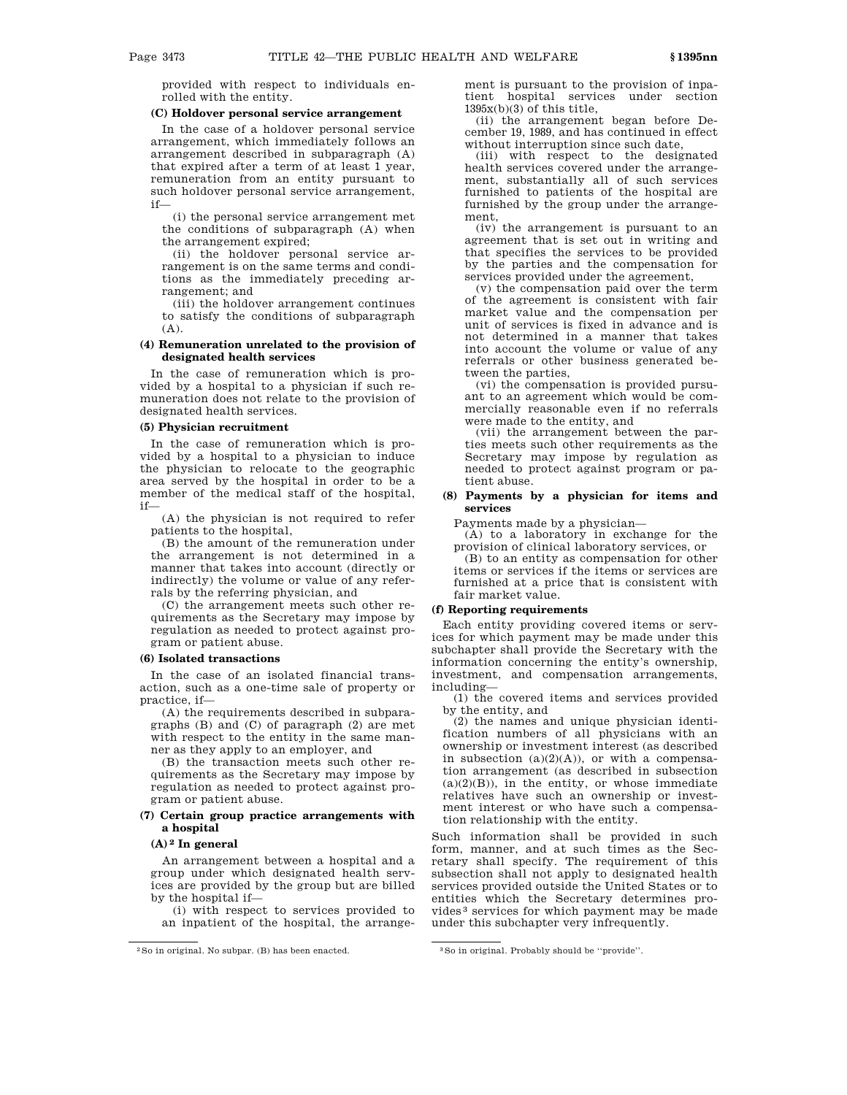provided with respect to individuals enrolled with the entity.

## **(C) Holdover personal service arrangement**

In the case of a holdover personal service arrangement, which immediately follows an arrangement described in subparagraph (A) that expired after a term of at least 1 year, remuneration from an entity pursuant to such holdover personal service arrangement, if—

(i) the personal service arrangement met the conditions of subparagraph (A) when the arrangement expired;

(ii) the holdover personal service arrangement is on the same terms and conditions as the immediately preceding arrangement; and

(iii) the holdover arrangement continues to satisfy the conditions of subparagraph (A).

#### **(4) Remuneration unrelated to the provision of designated health services**

In the case of remuneration which is provided by a hospital to a physician if such remuneration does not relate to the provision of designated health services.

# **(5) Physician recruitment**

In the case of remuneration which is provided by a hospital to a physician to induce the physician to relocate to the geographic area served by the hospital in order to be a member of the medical staff of the hospital, if—

(A) the physician is not required to refer patients to the hospital,

(B) the amount of the remuneration under the arrangement is not determined in a manner that takes into account (directly or indirectly) the volume or value of any referrals by the referring physician, and

(C) the arrangement meets such other requirements as the Secretary may impose by regulation as needed to protect against program or patient abuse.

#### **(6) Isolated transactions**

In the case of an isolated financial transaction, such as a one-time sale of property or practice, if—

(A) the requirements described in subparagraphs (B) and (C) of paragraph (2) are met with respect to the entity in the same manner as they apply to an employer, and

(B) the transaction meets such other requirements as the Secretary may impose by regulation as needed to protect against program or patient abuse.

# **(7) Certain group practice arrangements with a hospital**

# **(A) 2 In general**

An arrangement between a hospital and a group under which designated health services are provided by the group but are billed by the hospital if—

(i) with respect to services provided to an inpatient of the hospital, the arrangement is pursuant to the provision of inpatient hospital services under section  $1395x(b)(3)$  of this title,

(ii) the arrangement began before December 19, 1989, and has continued in effect without interruption since such date,

(iii) with respect to the designated health services covered under the arrangement, substantially all of such services furnished to patients of the hospital are furnished by the group under the arrangement,

(iv) the arrangement is pursuant to an agreement that is set out in writing and that specifies the services to be provided by the parties and the compensation for services provided under the agreement,

(v) the compensation paid over the term of the agreement is consistent with fair market value and the compensation per unit of services is fixed in advance and is not determined in a manner that takes into account the volume or value of any referrals or other business generated between the parties,

(vi) the compensation is provided pursuant to an agreement which would be commercially reasonable even if no referrals were made to the entity, and

(vii) the arrangement between the parties meets such other requirements as the Secretary may impose by regulation as needed to protect against program or patient abuse.

## **(8) Payments by a physician for items and services**

Payments made by a physician—

(A) to a laboratory in exchange for the provision of clinical laboratory services, or

(B) to an entity as compensation for other items or services if the items or services are furnished at a price that is consistent with fair market value.

## **(f) Reporting requirements**

Each entity providing covered items or services for which payment may be made under this subchapter shall provide the Secretary with the information concerning the entity's ownership, investment, and compensation arrangements, including—

(1) the covered items and services provided by the entity, and

(2) the names and unique physician identification numbers of all physicians with an ownership or investment interest (as described in subsection  $(a)(2)(A)$ , or with a compensation arrangement (as described in subsection  $(a)(2)(B)$ , in the entity, or whose immediate relatives have such an ownership or investment interest or who have such a compensation relationship with the entity.

Such information shall be provided in such form, manner, and at such times as the Secretary shall specify. The requirement of this subsection shall not apply to designated health services provided outside the United States or to entities which the Secretary determines provides 3 services for which payment may be made under this subchapter very infrequently.

<sup>2</sup>So in original. No subpar. (B) has been enacted. 3So in original. Probably should be ''provide''.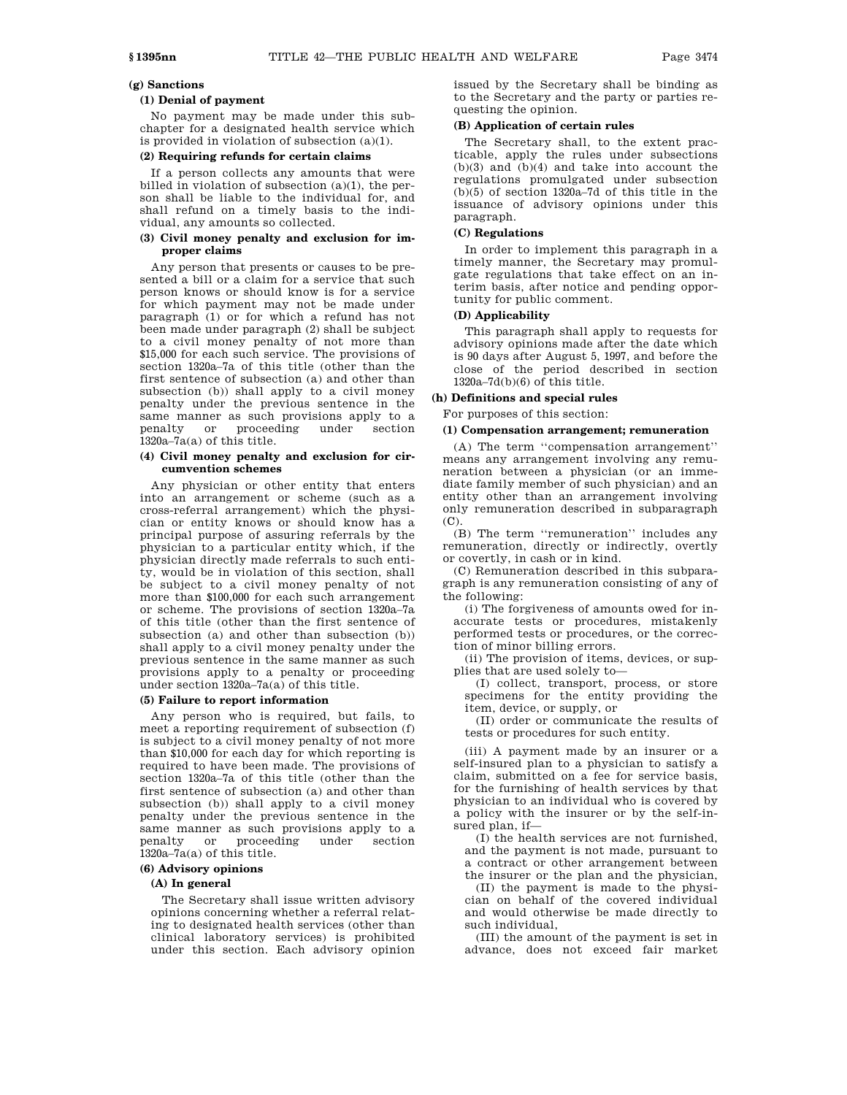## **(g) Sanctions**

# **(1) Denial of payment**

No payment may be made under this subchapter for a designated health service which is provided in violation of subsection (a)(1).

## **(2) Requiring refunds for certain claims**

If a person collects any amounts that were billed in violation of subsection (a)(1), the person shall be liable to the individual for, and shall refund on a timely basis to the individual, any amounts so collected.

## **(3) Civil money penalty and exclusion for improper claims**

Any person that presents or causes to be presented a bill or a claim for a service that such person knows or should know is for a service for which payment may not be made under paragraph (1) or for which a refund has not been made under paragraph (2) shall be subject to a civil money penalty of not more than \$15,000 for each such service. The provisions of section 1320a–7a of this title (other than the first sentence of subsection (a) and other than subsection (b)) shall apply to a civil money penalty under the previous sentence in the same manner as such provisions apply to a penalty or proceeding under section 1320a–7a(a) of this title.

## **(4) Civil money penalty and exclusion for circumvention schemes**

Any physician or other entity that enters into an arrangement or scheme (such as a cross-referral arrangement) which the physician or entity knows or should know has a principal purpose of assuring referrals by the physician to a particular entity which, if the physician directly made referrals to such entity, would be in violation of this section, shall be subject to a civil money penalty of not more than \$100,000 for each such arrangement or scheme. The provisions of section 1320a–7a of this title (other than the first sentence of subsection (a) and other than subsection (b)) shall apply to a civil money penalty under the previous sentence in the same manner as such provisions apply to a penalty or proceeding under section 1320a–7a(a) of this title.

## **(5) Failure to report information**

Any person who is required, but fails, to meet a reporting requirement of subsection (f) is subject to a civil money penalty of not more than \$10,000 for each day for which reporting is required to have been made. The provisions of section 1320a–7a of this title (other than the first sentence of subsection (a) and other than subsection (b)) shall apply to a civil money penalty under the previous sentence in the same manner as such provisions apply to a penalty or proceeding under section 1320a–7a(a) of this title.

## **(6) Advisory opinions**

#### **(A) In general**

The Secretary shall issue written advisory opinions concerning whether a referral relating to designated health services (other than clinical laboratory services) is prohibited under this section. Each advisory opinion issued by the Secretary shall be binding as to the Secretary and the party or parties requesting the opinion.

#### **(B) Application of certain rules**

The Secretary shall, to the extent practicable, apply the rules under subsections (b)(3) and (b)(4) and take into account the regulations promulgated under subsection (b)(5) of section 1320a–7d of this title in the issuance of advisory opinions under this paragraph.

## **(C) Regulations**

In order to implement this paragraph in a timely manner, the Secretary may promulgate regulations that take effect on an interim basis, after notice and pending opportunity for public comment.

## **(D) Applicability**

This paragraph shall apply to requests for advisory opinions made after the date which is 90 days after August 5, 1997, and before the close of the period described in section 1320a–7d(b)(6) of this title.

#### **(h) Definitions and special rules**

For purposes of this section:

## **(1) Compensation arrangement; remuneration**

(A) The term ''compensation arrangement'' means any arrangement involving any remuneration between a physician (or an immediate family member of such physician) and an entity other than an arrangement involving only remuneration described in subparagraph (C).

(B) The term ''remuneration'' includes any remuneration, directly or indirectly, overtly or covertly, in cash or in kind.

(C) Remuneration described in this subparagraph is any remuneration consisting of any of the following:

(i) The forgiveness of amounts owed for inaccurate tests or procedures, mistakenly performed tests or procedures, or the correction of minor billing errors.

(ii) The provision of items, devices, or supplies that are used solely to—

(I) collect, transport, process, or store specimens for the entity providing the item, device, or supply, or

(II) order or communicate the results of tests or procedures for such entity.

(iii) A payment made by an insurer or a self-insured plan to a physician to satisfy a claim, submitted on a fee for service basis, for the furnishing of health services by that physician to an individual who is covered by a policy with the insurer or by the self-insured plan, if—

(I) the health services are not furnished, and the payment is not made, pursuant to a contract or other arrangement between the insurer or the plan and the physician,

(II) the payment is made to the physician on behalf of the covered individual and would otherwise be made directly to such individual,

(III) the amount of the payment is set in advance, does not exceed fair market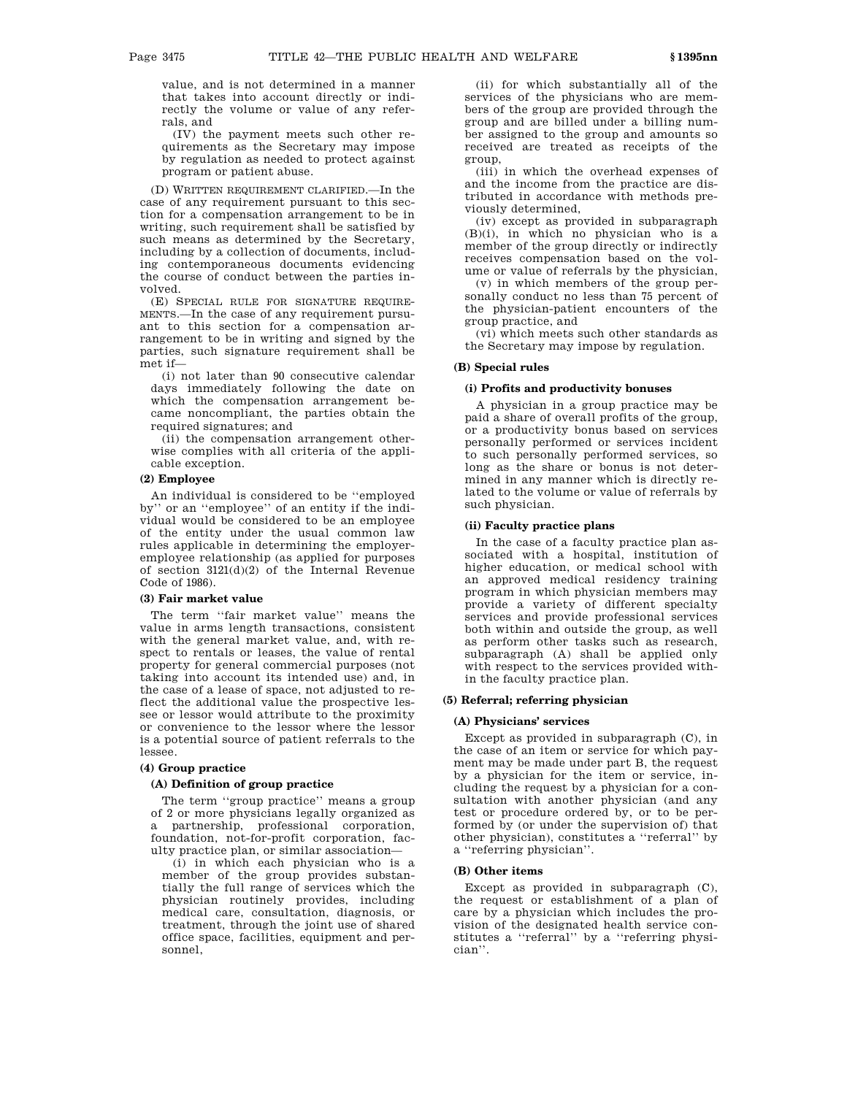value, and is not determined in a manner that takes into account directly or indirectly the volume or value of any referrals, and

(IV) the payment meets such other requirements as the Secretary may impose by regulation as needed to protect against program or patient abuse.

(D) WRITTEN REQUIREMENT CLARIFIED.—In the case of any requirement pursuant to this section for a compensation arrangement to be in writing, such requirement shall be satisfied by such means as determined by the Secretary, including by a collection of documents, including contemporaneous documents evidencing the course of conduct between the parties involved.

(E) SPECIAL RULE FOR SIGNATURE REQUIRE-MENTS.—In the case of any requirement pursuant to this section for a compensation arrangement to be in writing and signed by the parties, such signature requirement shall be met if—

(i) not later than 90 consecutive calendar days immediately following the date on which the compensation arrangement became noncompliant, the parties obtain the required signatures; and

(ii) the compensation arrangement otherwise complies with all criteria of the applicable exception.

## **(2) Employee**

An individual is considered to be ''employed by'' or an ''employee'' of an entity if the individual would be considered to be an employee of the entity under the usual common law rules applicable in determining the employeremployee relationship (as applied for purposes of section 3121(d)(2) of the Internal Revenue Code of 1986).

## **(3) Fair market value**

The term "fair market value" means the value in arms length transactions, consistent with the general market value, and, with respect to rentals or leases, the value of rental property for general commercial purposes (not taking into account its intended use) and, in the case of a lease of space, not adjusted to reflect the additional value the prospective lessee or lessor would attribute to the proximity or convenience to the lessor where the lessor is a potential source of patient referrals to the lessee.

#### **(4) Group practice**

## **(A) Definition of group practice**

The term ''group practice'' means a group of 2 or more physicians legally organized as a partnership, professional corporation, foundation, not-for-profit corporation, faculty practice plan, or similar association—

(i) in which each physician who is a member of the group provides substantially the full range of services which the physician routinely provides, including medical care, consultation, diagnosis, or treatment, through the joint use of shared office space, facilities, equipment and personnel,

(ii) for which substantially all of the services of the physicians who are members of the group are provided through the group and are billed under a billing number assigned to the group and amounts so received are treated as receipts of the group,

(iii) in which the overhead expenses of and the income from the practice are distributed in accordance with methods previously determined,

(iv) except as provided in subparagraph (B)(i), in which no physician who is a member of the group directly or indirectly receives compensation based on the volume or value of referrals by the physician,

(v) in which members of the group personally conduct no less than 75 percent of the physician-patient encounters of the group practice, and

(vi) which meets such other standards as the Secretary may impose by regulation.

#### **(B) Special rules**

## **(i) Profits and productivity bonuses**

A physician in a group practice may be paid a share of overall profits of the group, or a productivity bonus based on services personally performed or services incident to such personally performed services, so long as the share or bonus is not determined in any manner which is directly related to the volume or value of referrals by such physician.

# **(ii) Faculty practice plans**

In the case of a faculty practice plan associated with a hospital, institution of higher education, or medical school with an approved medical residency training program in which physician members may provide a variety of different specialty services and provide professional services both within and outside the group, as well as perform other tasks such as research, subparagraph (A) shall be applied only with respect to the services provided within the faculty practice plan.

# **(5) Referral; referring physician**

## **(A) Physicians' services**

Except as provided in subparagraph (C), in the case of an item or service for which payment may be made under part B, the request by a physician for the item or service, including the request by a physician for a consultation with another physician (and any test or procedure ordered by, or to be performed by (or under the supervision of) that other physician), constitutes a ''referral'' by a ''referring physician''.

#### **(B) Other items**

Except as provided in subparagraph (C), the request or establishment of a plan of care by a physician which includes the provision of the designated health service constitutes a ''referral'' by a ''referring physician''.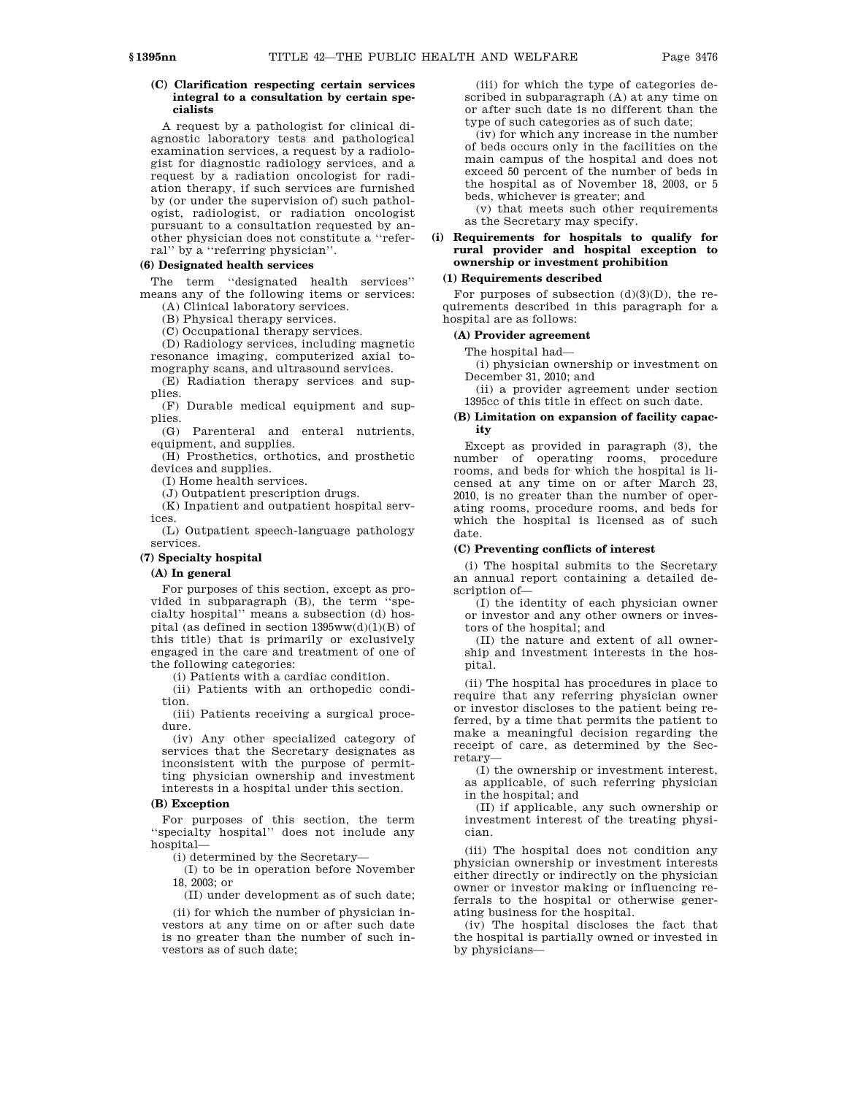## **(C) Clarification respecting certain services integral to a consultation by certain specialists**

A request by a pathologist for clinical diagnostic laboratory tests and pathological examination services, a request by a radiologist for diagnostic radiology services, and a request by a radiation oncologist for radiation therapy, if such services are furnished by (or under the supervision of) such pathologist, radiologist, or radiation oncologist pursuant to a consultation requested by another physician does not constitute a ''referral'' by a ''referring physician''.

## **(6) Designated health services**

The term ''designated health services'' means any of the following items or services:

(A) Clinical laboratory services.

(B) Physical therapy services.

(C) Occupational therapy services.

(D) Radiology services, including magnetic resonance imaging, computerized axial tomography scans, and ultrasound services.

(E) Radiation therapy services and supplies.

(F) Durable medical equipment and supplies.

(G) Parenteral and enteral nutrients, equipment, and supplies.

(H) Prosthetics, orthotics, and prosthetic devices and supplies.

(I) Home health services.

(J) Outpatient prescription drugs.

(K) Inpatient and outpatient hospital services.

(L) Outpatient speech-language pathology services.

## **(7) Specialty hospital**

#### **(A) In general**

For purposes of this section, except as provided in subparagraph (B), the term ''specialty hospital'' means a subsection (d) hospital (as defined in section  $1395ww(d)(1)(B)$  of this title) that is primarily or exclusively engaged in the care and treatment of one of the following categories:

(i) Patients with a cardiac condition.

(ii) Patients with an orthopedic condition.

(iii) Patients receiving a surgical procedure.

(iv) Any other specialized category of services that the Secretary designates as inconsistent with the purpose of permitting physician ownership and investment interests in a hospital under this section.

## **(B) Exception**

For purposes of this section, the term "specialty hospital" does not include any hospital—

(i) determined by the Secretary—

(I) to be in operation before November 18, 2003; or

(II) under development as of such date;

(ii) for which the number of physician investors at any time on or after such date is no greater than the number of such investors as of such date;

(iii) for which the type of categories described in subparagraph (A) at any time on or after such date is no different than the type of such categories as of such date;

(iv) for which any increase in the number of beds occurs only in the facilities on the main campus of the hospital and does not exceed 50 percent of the number of beds in the hospital as of November 18, 2003, or 5 beds, whichever is greater; and

(v) that meets such other requirements as the Secretary may specify.

# **(i) Requirements for hospitals to qualify for rural provider and hospital exception to ownership or investment prohibition**

## **(1) Requirements described**

For purposes of subsection  $(d)(3)(D)$ , the requirements described in this paragraph for a hospital are as follows:

## **(A) Provider agreement**

The hospital had—

(i) physician ownership or investment on December 31, 2010; and

(ii) a provider agreement under section 1395cc of this title in effect on such date.

## **(B) Limitation on expansion of facility capacity**

Except as provided in paragraph (3), the number of operating rooms, procedure rooms, and beds for which the hospital is licensed at any time on or after March 23, 2010, is no greater than the number of operating rooms, procedure rooms, and beds for which the hospital is licensed as of such date.

#### **(C) Preventing conflicts of interest**

(i) The hospital submits to the Secretary an annual report containing a detailed description of—

(I) the identity of each physician owner or investor and any other owners or investors of the hospital; and

(II) the nature and extent of all ownership and investment interests in the hospital.

(ii) The hospital has procedures in place to require that any referring physician owner or investor discloses to the patient being referred, by a time that permits the patient to make a meaningful decision regarding the receipt of care, as determined by the Secretary—

(I) the ownership or investment interest, as applicable, of such referring physician in the hospital; and

(II) if applicable, any such ownership or investment interest of the treating physician.

(iii) The hospital does not condition any physician ownership or investment interests either directly or indirectly on the physician owner or investor making or influencing referrals to the hospital or otherwise generating business for the hospital.

(iv) The hospital discloses the fact that the hospital is partially owned or invested in by physicians—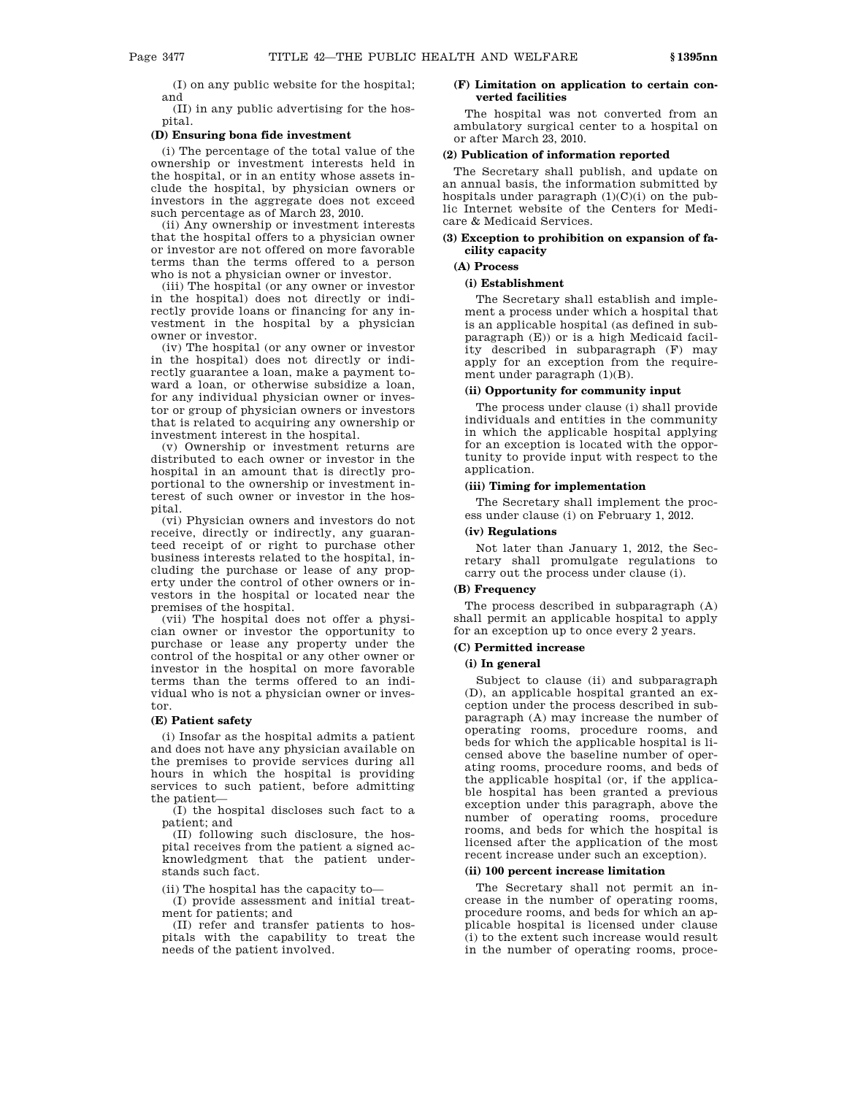(I) on any public website for the hospital; and

(II) in any public advertising for the hospital.

## **(D) Ensuring bona fide investment**

(i) The percentage of the total value of the ownership or investment interests held in the hospital, or in an entity whose assets include the hospital, by physician owners or investors in the aggregate does not exceed such percentage as of March 23, 2010.

(ii) Any ownership or investment interests that the hospital offers to a physician owner or investor are not offered on more favorable terms than the terms offered to a person who is not a physician owner or investor.

(iii) The hospital (or any owner or investor in the hospital) does not directly or indirectly provide loans or financing for any investment in the hospital by a physician owner or investor.

(iv) The hospital (or any owner or investor in the hospital) does not directly or indirectly guarantee a loan, make a payment toward a loan, or otherwise subsidize a loan, for any individual physician owner or investor or group of physician owners or investors that is related to acquiring any ownership or investment interest in the hospital.

(v) Ownership or investment returns are distributed to each owner or investor in the hospital in an amount that is directly proportional to the ownership or investment interest of such owner or investor in the hospital.

(vi) Physician owners and investors do not receive, directly or indirectly, any guaranteed receipt of or right to purchase other business interests related to the hospital, including the purchase or lease of any property under the control of other owners or investors in the hospital or located near the premises of the hospital.

(vii) The hospital does not offer a physician owner or investor the opportunity to purchase or lease any property under the control of the hospital or any other owner or investor in the hospital on more favorable terms than the terms offered to an individual who is not a physician owner or investor.

# **(E) Patient safety**

(i) Insofar as the hospital admits a patient and does not have any physician available on the premises to provide services during all hours in which the hospital is providing services to such patient, before admitting the patient—

(I) the hospital discloses such fact to a patient; and

(II) following such disclosure, the hospital receives from the patient a signed acknowledgment that the patient understands such fact.

(ii) The hospital has the capacity to—

(I) provide assessment and initial treatment for patients; and

(II) refer and transfer patients to hospitals with the capability to treat the needs of the patient involved.

## **(F) Limitation on application to certain converted facilities**

The hospital was not converted from an ambulatory surgical center to a hospital on or after March 23, 2010.

## **(2) Publication of information reported**

The Secretary shall publish, and update on an annual basis, the information submitted by hospitals under paragraph (1)(C)(i) on the public Internet website of the Centers for Medicare & Medicaid Services.

## **(3) Exception to prohibition on expansion of facility capacity**

## **(A) Process**

#### **(i) Establishment**

The Secretary shall establish and implement a process under which a hospital that is an applicable hospital (as defined in subparagraph (E)) or is a high Medicaid facility described in subparagraph (F) may apply for an exception from the requirement under paragraph (1)(B).

#### **(ii) Opportunity for community input**

The process under clause (i) shall provide individuals and entities in the community in which the applicable hospital applying for an exception is located with the opportunity to provide input with respect to the application.

# **(iii) Timing for implementation**

The Secretary shall implement the process under clause (i) on February 1, 2012.

#### **(iv) Regulations**

Not later than January 1, 2012, the Secretary shall promulgate regulations to carry out the process under clause (i).

#### **(B) Frequency**

The process described in subparagraph (A) shall permit an applicable hospital to apply for an exception up to once every 2 years.

# **(C) Permitted increase**

#### **(i) In general**

Subject to clause (ii) and subparagraph (D), an applicable hospital granted an exception under the process described in subparagraph (A) may increase the number of operating rooms, procedure rooms, and beds for which the applicable hospital is licensed above the baseline number of operating rooms, procedure rooms, and beds of the applicable hospital (or, if the applicable hospital has been granted a previous exception under this paragraph, above the number of operating rooms, procedure rooms, and beds for which the hospital is licensed after the application of the most recent increase under such an exception).

#### **(ii) 100 percent increase limitation**

The Secretary shall not permit an increase in the number of operating rooms, procedure rooms, and beds for which an applicable hospital is licensed under clause (i) to the extent such increase would result in the number of operating rooms, proce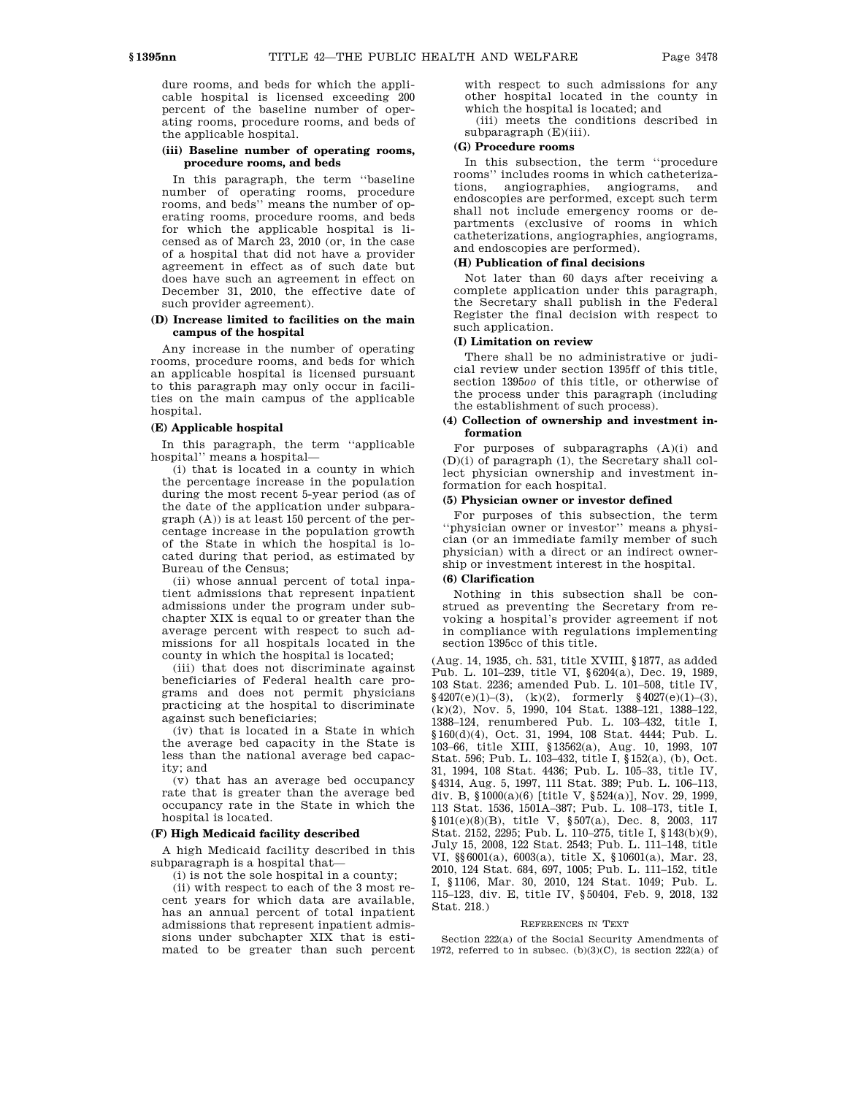dure rooms, and beds for which the applicable hospital is licensed exceeding 200 percent of the baseline number of operating rooms, procedure rooms, and beds of the applicable hospital.

## **(iii) Baseline number of operating rooms, procedure rooms, and beds**

In this paragraph, the term ''baseline number of operating rooms, procedure rooms, and beds'' means the number of operating rooms, procedure rooms, and beds for which the applicable hospital is licensed as of March 23, 2010 (or, in the case of a hospital that did not have a provider agreement in effect as of such date but does have such an agreement in effect on December 31, 2010, the effective date of such provider agreement).

## **(D) Increase limited to facilities on the main campus of the hospital**

Any increase in the number of operating rooms, procedure rooms, and beds for which an applicable hospital is licensed pursuant to this paragraph may only occur in facilities on the main campus of the applicable hospital.

#### **(E) Applicable hospital**

In this paragraph, the term ''applicable hospital'' means a hospital—

(i) that is located in a county in which the percentage increase in the population during the most recent 5-year period (as of the date of the application under subparagraph (A)) is at least 150 percent of the percentage increase in the population growth of the State in which the hospital is located during that period, as estimated by Bureau of the Census;

(ii) whose annual percent of total inpatient admissions that represent inpatient admissions under the program under subchapter XIX is equal to or greater than the average percent with respect to such admissions for all hospitals located in the county in which the hospital is located;

(iii) that does not discriminate against beneficiaries of Federal health care programs and does not permit physicians practicing at the hospital to discriminate against such beneficiaries;

(iv) that is located in a State in which the average bed capacity in the State is less than the national average bed capacity; and

(v) that has an average bed occupancy rate that is greater than the average bed occupancy rate in the State in which the hospital is located.

## **(F) High Medicaid facility described**

A high Medicaid facility described in this subparagraph is a hospital that—

(i) is not the sole hospital in a county;

(ii) with respect to each of the 3 most recent years for which data are available, has an annual percent of total inpatient admissions that represent inpatient admissions under subchapter XIX that is estimated to be greater than such percent with respect to such admissions for any other hospital located in the county in which the hospital is located; and

(iii) meets the conditions described in subparagraph (E)(iii).

# **(G) Procedure rooms**

In this subsection, the term ''procedure rooms'' includes rooms in which catheterizations, angiographies, angiograms, and endoscopies are performed, except such term shall not include emergency rooms or departments (exclusive of rooms in which catheterizations, angiographies, angiograms, and endoscopies are performed).

#### **(H) Publication of final decisions**

Not later than 60 days after receiving a complete application under this paragraph, the Secretary shall publish in the Federal Register the final decision with respect to such application.

#### **(I) Limitation on review**

There shall be no administrative or judicial review under section 1395ff of this title, section 1395*oo* of this title, or otherwise of the process under this paragraph (including the establishment of such process).

## **(4) Collection of ownership and investment information**

For purposes of subparagraphs (A)(i) and (D)(i) of paragraph (1), the Secretary shall collect physician ownership and investment information for each hospital.

# **(5) Physician owner or investor defined**

For purposes of this subsection, the term ''physician owner or investor'' means a physician (or an immediate family member of such physician) with a direct or an indirect ownership or investment interest in the hospital.

#### **(6) Clarification**

Nothing in this subsection shall be construed as preventing the Secretary from revoking a hospital's provider agreement if not in compliance with regulations implementing section 1395cc of this title.

(Aug. 14, 1935, ch. 531, title XVIII, §1877, as added Pub. L. 101–239, title VI, §6204(a), Dec. 19, 1989, 103 Stat. 2236; amended Pub. L. 101–508, title IV,  $§4207(e)(1)–(3), (k)(2), formerly §4027(e)(1)–(3),$ (k)(2), Nov. 5, 1990, 104 Stat. 1388–121, 1388–122, 1388–124, renumbered Pub. L. 103–432, title I, §160(d)(4), Oct. 31, 1994, 108 Stat. 4444; Pub. L. 103–66, title XIII, §13562(a), Aug. 10, 1993, 107 Stat. 596; Pub. L. 103–432, title I, §152(a), (b), Oct. 31, 1994, 108 Stat. 4436; Pub. L. 105–33, title IV, §4314, Aug. 5, 1997, 111 Stat. 389; Pub. L. 106-113, div. B, §1000(a)(6) [title V, §524(a)], Nov. 29, 1999, 113 Stat. 1536, 1501A–387; Pub. L. 108–173, title I, §101(e)(8)(B), title V, §507(a), Dec. 8, 2003, 117 Stat. 2152, 2295; Pub. L. 110–275, title I, §143(b)(9), July 15, 2008, 122 Stat. 2543; Pub. L. 111–148, title VI, §§6001(a), 6003(a), title X, §10601(a), Mar. 23, 2010, 124 Stat. 684, 697, 1005; Pub. L. 111–152, title I, §1106, Mar. 30, 2010, 124 Stat. 1049; Pub. L. 115–123, div. E, title IV, §50404, Feb. 9, 2018, 132 Stat. 218.)

#### REFERENCES IN TEXT

Section 222(a) of the Social Security Amendments of 1972, referred to in subsec.  $(b)(3)(C)$ , is section 222 $(a)$  of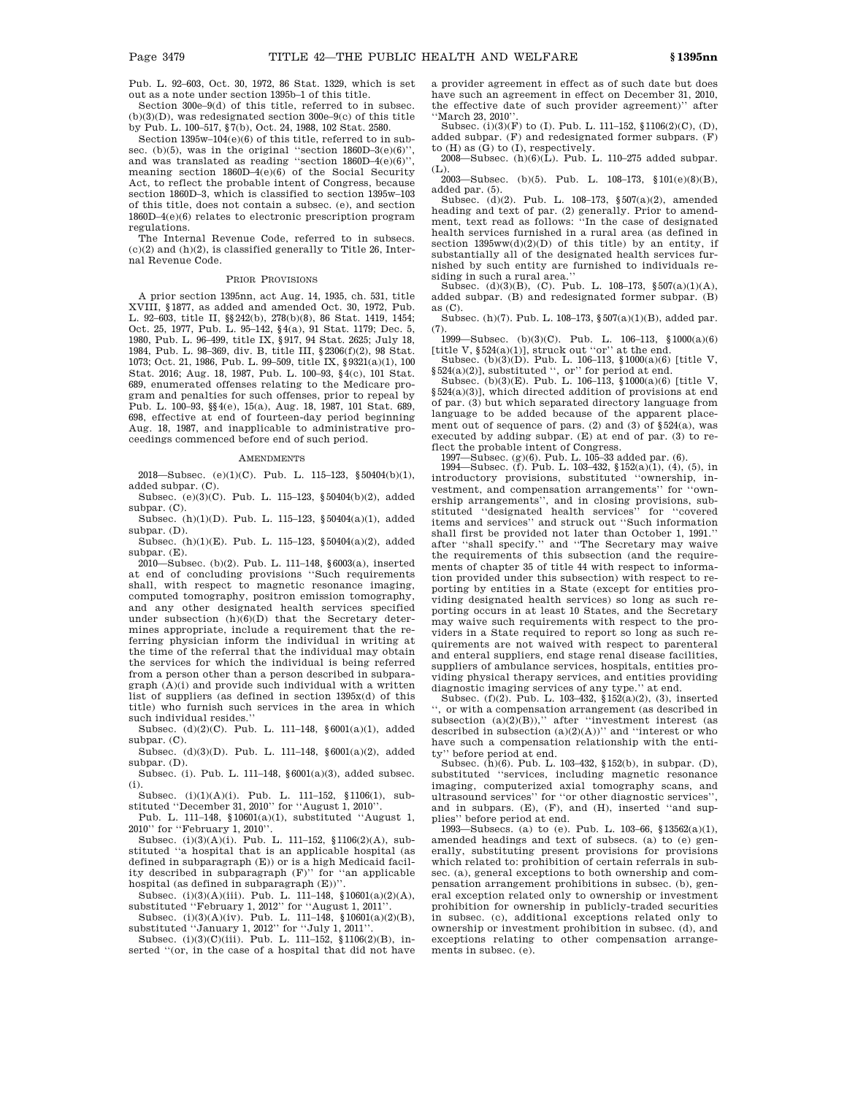Pub. L. 92–603, Oct. 30, 1972, 86 Stat. 1329, which is set out as a note under section 1395b–1 of this title.

Section 300e–9(d) of this title, referred to in subsec.  $(b)(3)(D)$ , was redesignated section 300e–9(c) of this title by Pub. L. 100–517, §7(b), Oct. 24, 1988, 102 Stat. 2580.

Section 1395w–104(e)(6) of this title, referred to in subsec. (b)(5), was in the original "section  $1860D-3(e)(6)$ ", and was translated as reading "section  $1860D-4(e)(6)$ " meaning section  $1860D-4(e)(6)$  of the Social Security Act, to reflect the probable intent of Congress, because section 1860D–3, which is classified to section 1395w–103 of this title, does not contain a subsec. (e), and section 1860D–4(e)(6) relates to electronic prescription program regulations.

The Internal Revenue Code, referred to in subsecs.  $(c)(2)$  and  $(h)(2)$ , is classified generally to Title 26, Internal Revenue Code.

#### PRIOR PROVISIONS

A prior section 1395nn, act Aug. 14, 1935, ch. 531, title XVIII, §1877, as added and amended Oct. 30, 1972, Pub. L. 92–603, title II, §§242(b), 278(b)(8), 86 Stat. 1419, 1454; Oct. 25, 1977, Pub. L. 95–142, §4(a), 91 Stat. 1179; Dec. 5, 1980, Pub. L. 96–499, title IX, §917, 94 Stat. 2625; July 18, 1984, Pub. L. 98–369, div. B, title III, §2306(f)(2), 98 Stat. 1073; Oct. 21, 1986, Pub. L. 99–509, title IX,  $\S 9321(a)(1),$   $100$ Stat. 2016; Aug. 18, 1987, Pub. L. 100–93, §4(c), 101 Stat. 689, enumerated offenses relating to the Medicare program and penalties for such offenses, prior to repeal by Pub. L. 100–93, §§4(e), 15(a), Aug. 18, 1987, 101 Stat. 689, 698, effective at end of fourteen-day period beginning Aug. 18, 1987, and inapplicable to administrative proceedings commenced before end of such period.

#### AMENDMENTS

2018—Subsec. (e)(1)(C). Pub. L. 115–123, §50404(b)(1), added subpar. (C).

Subsec. (e)(3)(C). Pub. L. 115–123, §50404(b)(2), added subpar. (C).

Subsec. (h)(1)(D). Pub. L. 115–123, §50404(a)(1), added subpar. (D).

Subsec. (h)(1)(E). Pub. L. 115–123, §50404(a)(2), added subpar. (E).

2010—Subsec. (b)(2). Pub. L. 111–148, §6003(a), inserted at end of concluding provisions ''Such requirements shall, with respect to magnetic resonance imaging, computed tomography, positron emission tomography, and any other designated health services specified under subsection  $(h)(6)(D)$  that the Secretary determines appropriate, include a requirement that the referring physician inform the individual in writing at the time of the referral that the individual may obtain the services for which the individual is being referred from a person other than a person described in subparagraph (A)(i) and provide such individual with a written list of suppliers (as defined in section 1395x(d) of this title) who furnish such services in the area in which such individual resides.''

Subsec. (d)(2)(C). Pub. L. 111–148, §6001(a)(1), added subpar. (C).

Subsec. (d)(3)(D). Pub. L. 111–148, §6001(a)(2), added subpar. (D).

Subsec. (i). Pub. L. 111–148, §6001(a)(3), added subsec. (i).

Subsec. (i)(1)(A)(i). Pub. L. 111–152, §1106(1), substituted ''December 31, 2010'' for ''August 1, 2010''.

Pub. L. 111–148, §10601(a)(1), substituted ''August 1, 2010'' for ''February 1, 2010''.

Subsec. (i)(3)(A)(i). Pub. L. 111–152, §1106(2)(A), substituted ''a hospital that is an applicable hospital (as defined in subparagraph (E)) or is a high Medicaid facility described in subparagraph (F)'' for ''an applicable hospital (as defined in subparagraph (E))''.

Subsec. (i)(3)(A)(iii). Pub. L. 111–148, §10601(a)(2)(A), substituted ''February 1, 2012'' for ''August 1, 2011''.

Subsec. (i)(3)(A)(iv). Pub. L. 111–148,  $$10601(a)(2)(B)$ ,

substituted ''January 1, 2012'' for ''July 1, 2011''. Subsec. (i)(3)(C)(iii). Pub. L. 111–152, §1106(2)(B), inserted "(or, in the case of a hospital that did not have a provider agreement in effect as of such date but does have such an agreement in effect on December 31, 2010, the effective date of such provider agreement)'' after "March 23, 2010".

Subsec. (i)(3)(F) to (I). Pub. L. 111–152, §1106(2)(C), (D), added subpar. (F) and redesignated former subpars. (F) to  $(H)$  as  $(G)$  to  $(I)$ , respectively.

2008—Subsec.  $(h)(6)(\hat{L})$ . Pub. L. 110–275 added subpar.  $(L)$ .

 $2003$ —Subsec. (b)(5). Pub. L. 108–173, §101(e)(8)(B), added par. (5).

Subsec. (d)(2). Pub. L. 108–173, §507(a)(2), amended heading and text of par. (2) generally. Prior to amend-ment, text read as follows: ''In the case of designated health services furnished in a rural area (as defined in section  $1395ww(d)(2)(D)$  of this title) by an entity, if substantially all of the designated health services furnished by such entity are furnished to individuals re-

siding in such a rural area."<br>Subsec.  $(d)(3)(B)$ , (C). Pub. L. 108–173, §507(a)(1)(A), added subpar. (B) and redesignated former subpar. (B) as (C). Subsec. (h)(7). Pub. L. 108–173, §507(a)(1)(B), added par.

(7).

1999—Subsec. (b)(3)(C). Pub. L. 106–113, §1000(a)(6)

[title V, §524(a)(1)], struck out ''or'' at the end.<br>
Subsec. (b)(3)(D). Pub. L. 106–113, §1000(a)(6) [title V,<br>§524(a)(2)], substituted '', or'' for period at end.<br>
Subsec. (b)(3)(E). Pub. L. 106–113, §1000(a)(6) [title

§524(a)(3)], which directed addition of provisions at end of par. (3) but which separated directory language from language to be added because of the apparent placement out of sequence of pars. (2) and (3) of §524(a), was executed by adding subpar. (E) at end of par. (3) to re-

flect the probable intent of Congress. 1997—Subsec. (g)(6). Pub. L. 105–33 added par. (6).

1994—Subsec. (f). Pub. L. 103–432, §152(a)(1), (4), (5), in introductory provisions, substituted ''ownership, investment, and compensation arrangements'' for ''ownership arrangements'', and in closing provisions, substituted ''designated health services'' for ''covered items and services'' and struck out ''Such information shall first be provided not later than October 1, 1991.'' after ''shall specify.'' and ''The Secretary may waive the requirements of this subsection (and the requirements of chapter 35 of title 44 with respect to information provided under this subsection) with respect to reporting by entities in a State (except for entities providing designated health services) so long as such reporting occurs in at least 10 States, and the Secretary may waive such requirements with respect to the providers in a State required to report so long as such requirements are not waived with respect to parenteral and enteral suppliers, end stage renal disease facilities, suppliers of ambulance services, hospitals, entities providing physical therapy services, and entities providing

diagnostic imaging services of any type." at end.<br>Subsec. (f)(2). Pub. L. 103–432,  $$152(a)(2)$ , (3), inserted '', or with a compensation arrangement (as described in subsection  $(a)(2)(B)$ )," after "investment interest (as described in subsection  $(a)(2)(A))$ " and "interest or who have such a compensation relationship with the entity'' before period at end.

Subsec. (h)(6). Pub. L. 103–432, §152(b), in subpar. (D), substituted ''services, including magnetic resonance imaging, computerized axial tomography scans, and ultrasound services'' for ''or other diagnostic services'', and in subpars. (E), (F), and (H), inserted ''and supplies'' before period at end.

1993—Subsecs. (a) to (e). Pub. L. 103–66, §13562(a)(1), amended headings and text of subsecs. (a) to (e) generally, substituting present provisions for provisions which related to: prohibition of certain referrals in subsec. (a), general exceptions to both ownership and compensation arrangement prohibitions in subsec. (b), general exception related only to ownership or investment prohibition for ownership in publicly-traded securities in subsec. (c), additional exceptions related only to ownership or investment prohibition in subsec. (d), and exceptions relating to other compensation arrangements in subsec. (e).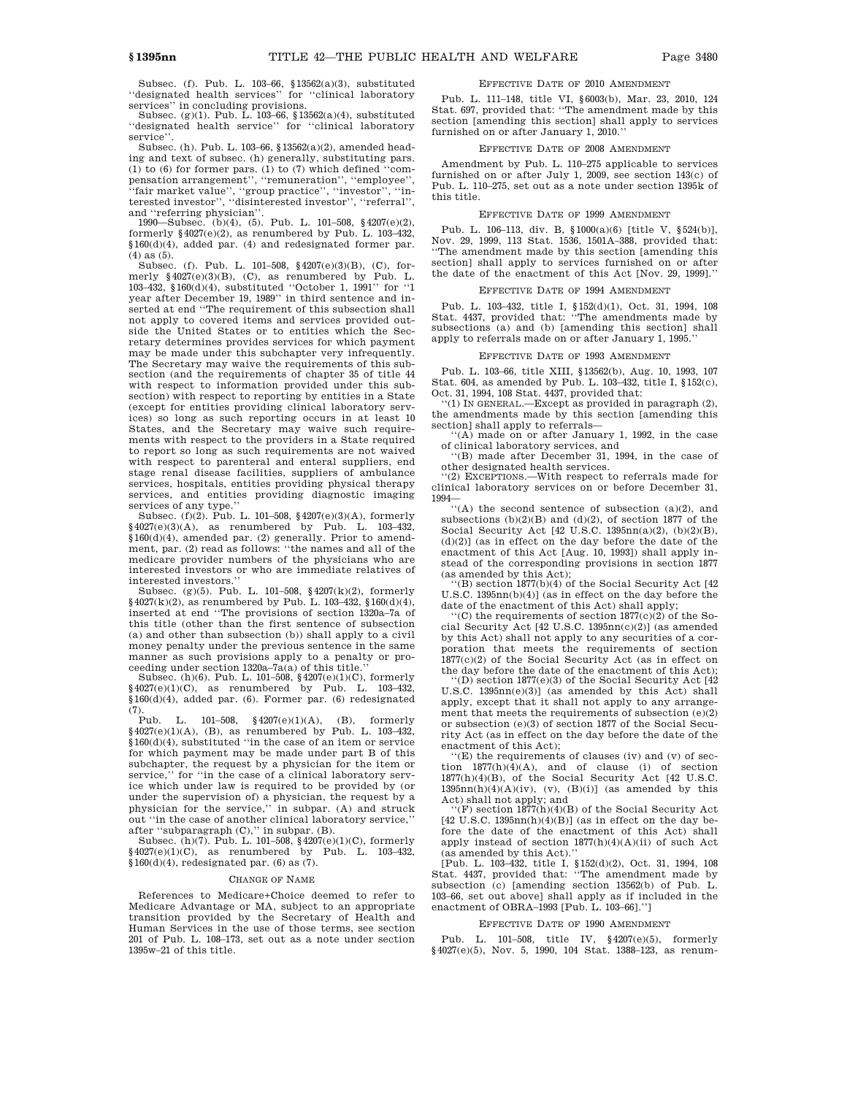Subsec. (f). Pub. L. 103–66, §13562(a)(3), substituted "designated health services" for "clinical laboratory services'' in concluding provisions.

Subsec. (g)(1). Pub. L. 103–66, §13562(a)(4), substituted "designated health service" for "clinical laboratory service''.

Subsec. (h). Pub. L. 103–66, §13562(a)(2), amended heading and text of subsec. (h) generally, substituting pars. (1) to (6) for former pars. (1) to (7) which defined ''com-pensation arrangement'', ''remuneration'', ''employee'', ''fair market value'', ''group practice'', ''investor'', ''in-terested investor'', ''disinterested investor'', ''referral'', and ''referring physician''.

1990—Subsec. (b)(4), (5). Pub. L. 101–508, §4207(e)(2), formerly  $§4027(e)(2)$ , as renumbered by Pub. L. 103-432, §160(d)(4), added par. (4) and redesignated former par. (4) as (5).

Subsec. (f). Pub. L. 101–508, §4207(e)(3)(B), (C), formerly §4027(e)(3)(B), (C), as renumbered by Pub. L. 103–432, §160(d)(4), substituted ''October 1, 1991'' for ''1 year after December 19, 1989'' in third sentence and inserted at end ''The requirement of this subsection shall not apply to covered items and services provided outside the United States or to entities which the Secretary determines provides services for which payment may be made under this subchapter very infrequently. The Secretary may waive the requirements of this subsection (and the requirements of chapter 35 of title 44 with respect to information provided under this subsection) with respect to reporting by entities in a State (except for entities providing clinical laboratory services) so long as such reporting occurs in at least 10 States, and the Secretary may waive such requirements with respect to the providers in a State required to report so long as such requirements are not waived with respect to parenteral and enteral suppliers, end stage renal disease facilities, suppliers of ambulance services, hospitals, entities providing physical therapy services, and entities providing diagnostic imaging services of any type.''

Subsec. (f)(2). Pub. L. 101–508, §4207(e)(3)(A), formerly §4027(e)(3)(A), as renumbered by Pub. L. 103–432, §160(d)(4), amended par. (2) generally. Prior to amendment, par. (2) read as follows: ''the names and all of the medicare provider numbers of the physicians who are interested investors or who are immediate relatives of interested investors.''

Subsec. (g)(5). Pub. L. 101–508, §4207(k)(2), formerly  $§$ 4027(k)(2), as renumbered by Pub. L. 103-432, §160(d)(4), inserted at end ''The provisions of section 1320a–7a of this title (other than the first sentence of subsection (a) and other than subsection (b)) shall apply to a civil money penalty under the previous sentence in the same manner as such provisions apply to a penalty or proceeding under section 1320a–7a(a) of this title.''

Subsec. (h)(6). Pub. L. 101–508, §4207(e)(1)(C), formerly §4027(e)(1)(C), as renumbered by Pub. L. 103–432, §160(d)(4), added par. (6). Former par. (6) redesignated  $\check{P}$ <sub>Pub.</sub>

Pub. L. 101–508,  $$4207(e)(1)(A)$ , (B), formerly  $$4027(e)(1)(A)$ , (B), as renumbered by Pub. L. 103–432,  $$160(d)(4)$ , substituted "in the case of an item or service for which payment may be made under part B of this subchapter, the request by a physician for the item or service," for "in the case of a clinical laboratory service which under law is required to be provided by (or under the supervision of) a physician, the request by a physician for the service,'' in subpar. (A) and struck out ''in the case of another clinical laboratory service,'' after ''subparagraph (C),'' in subpar. (B).

Subsec. (h)(7). Pub. L. 101–508, §4207(e)(1)(C), formerly  $§4027(e)(1)(C)$ , as renumbered by Pub. L. 103-432,  $§160(d)(4)$ , redesignated par. (6) as (7).

#### CHANGE OF NAME

References to Medicare+Choice deemed to refer to Medicare Advantage or MA, subject to an appropriate transition provided by the Secretary of Health and Human Services in the use of those terms, see section 201 of Pub. L. 108–173, set out as a note under section 1395w–21 of this title.

#### EFFECTIVE DATE OF 2010 AMENDMENT

Pub. L. 111–148, title VI, §6003(b), Mar. 23, 2010, 124 Stat. 697, provided that: ''The amendment made by this section [amending this section] shall apply to services furnished on or after January 1, 2010.''

#### EFFECTIVE DATE OF 2008 AMENDMENT

Amendment by Pub. L. 110–275 applicable to services furnished on or after July 1, 2009, see section 143(c) of Pub. L. 110–275, set out as a note under section 1395k of this title.

#### EFFECTIVE DATE OF 1999 AMENDMENT

Pub. L. 106–113, div. B, §1000(a)(6) [title V, §524(b)], Nov. 29, 1999, 113 Stat. 1536, 1501A–388, provided that: ''The amendment made by this section [amending this section] shall apply to services furnished on or after the date of the enactment of this Act [Nov. 29, 1999].''

#### EFFECTIVE DATE OF 1994 AMENDMENT

Pub. L. 103–432, title I, §152(d)(1), Oct. 31, 1994, 108 Stat. 4437, provided that: ''The amendments made by subsections (a) and (b) [amending this section] shall apply to referrals made on or after January 1, 1995.''

#### EFFECTIVE DATE OF 1993 AMENDMENT

Pub. L. 103–66, title XIII, §13562(b), Aug. 10, 1993, 107 Stat. 604, as amended by Pub. L. 103–432, title I, §152(c), Oct. 31, 1994, 108 Stat. 4437, provided that:

''(1) IN GENERAL.—Except as provided in paragraph (2), the amendments made by this section [amending this section] shall apply to referrals—

 $(A)$  made on or after January 1, 1992, in the case of clinical laboratory services, and

''(B) made after December 31, 1994, in the case of other designated health services.

''(2) EXCEPTIONS.—With respect to referrals made for clinical laboratory services on or before December 31,

1994— $\cdot$  "(A) the second sentence of subsection (a)(2), and subsections  $(b)(2)(B)$  and  $(d)(2)$ , of section 1877 of the Social Security Act [42 U.S.C. 1395nn(a)(2), (b)(2)(B),  $(d)(2)$  (as in effect on the day before the date of the enactment of this Act [Aug. 10, 1993]) shall apply instead of the corresponding provisions in section 1877 (as amended by this Act);

 $'(B)$  section  $1877(b)(4)$  of the Social Security Act [42] U.S.C. 1395nn(b)(4)] (as in effect on the day before the date of the enactment of this Act) shall apply;

 $C$ ) the requirements of section  $1877(c)(2)$  of the Social Security Act [42 U.S.C. 1395nn(c)(2)] (as amended by this Act) shall not apply to any securities of a corporation that meets the requirements of section 1877(c)(2) of the Social Security Act (as in effect on the day before the date of the enactment of this Act);

''(D) section 1877(e)(3) of the Social Security Act [42 U.S.C. 1395nn(e)(3)] (as amended by this Act) shall apply, except that it shall not apply to any arrangement that meets the requirements of subsection (e)(2) or subsection (e)(3) of section 1877 of the Social Security Act (as in effect on the day before the date of the enactment of this Act);

 $\mathbf{F}(\mathbf{E})$  the requirements of clauses (iv) and (v) of section 1877(h)(4)(A), and of clause (i) of section 1877(h)(4)(B), of the Social Security Act [42 U.S.C.  $1395nn(h)(4)(A)(iv)$ , (v), (B)(i)] (as amended by this

Act) shall not apply; and<br>
"(F) section  $1877(h)(4)(B)$  of the Social Security Act  $[42 \text{ U.S.C. } 1395 \text{nn}(h)(4)(B)]$  (as in effect on the day before the date of the enactment of this Act) shall apply instead of section 1877(h)(4)(A)(ii) of such Act (as amended by this Act).''

[Pub. L. 103–432, title I, §152(d)(2), Oct. 31, 1994, 108 Stat. 4437, provided that: ''The amendment made by subsection (c) [amending section 13562(b) of Pub. L. 103–66, set out above] shall apply as if included in the enactment of OBRA–1993 [Pub. L. 103–66].'']

#### EFFECTIVE DATE OF 1990 AMENDMENT

Pub. L. 101–508, title IV, §4207(e)(5), formerly §4027(e)(5), Nov. 5, 1990, 104 Stat. 1388-123, as renum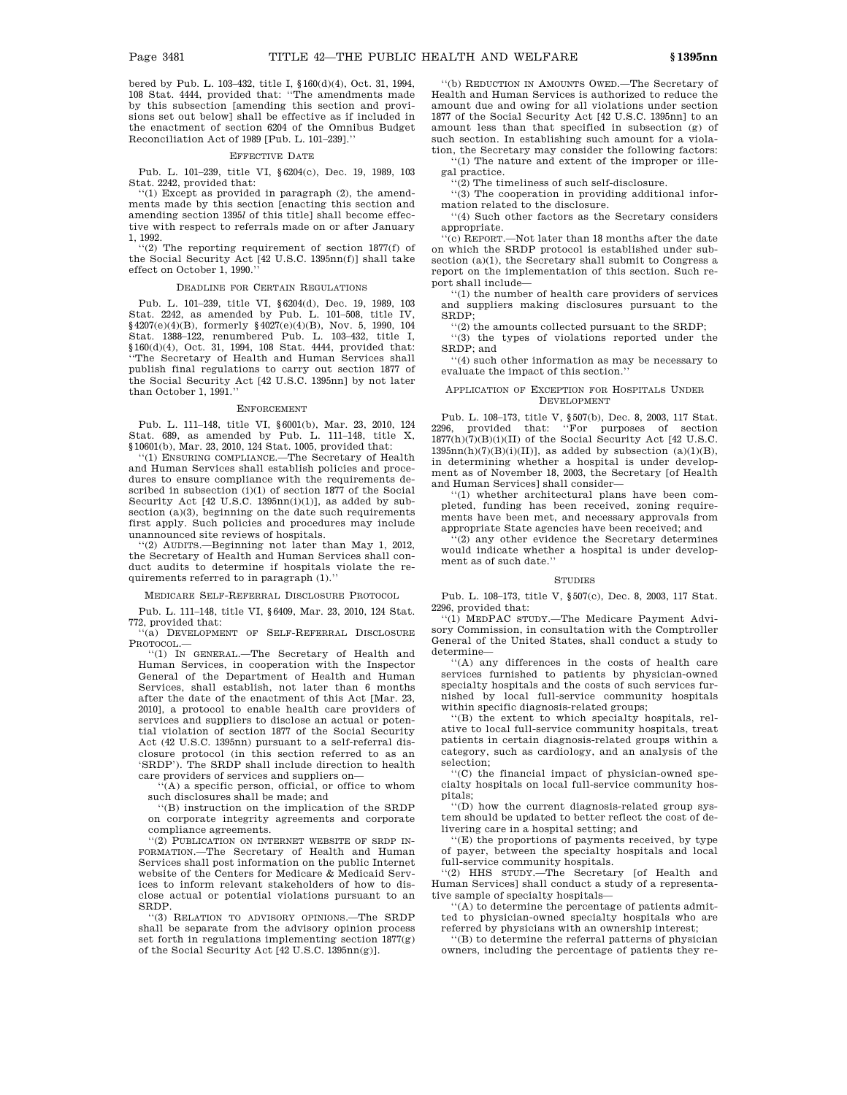bered by Pub. L. 103–432, title I, §160(d)(4), Oct. 31, 1994, 108 Stat. 4444, provided that: ''The amendments made by this subsection [amending this section and provisions set out below] shall be effective as if included in the enactment of section 6204 of the Omnibus Budget Reconciliation Act of 1989 [Pub. L. 101–239].''

#### EFFECTIVE DATE

Pub. L. 101–239, title VI, §6204(c), Dec. 19, 1989, 103 Stat. 2242, provided that:

''(1) Except as provided in paragraph (2), the amendments made by this section [enacting this section and amending section 1395*l* of this title] shall become effective with respect to referrals made on or after January 1, 1992.

''(2) The reporting requirement of section 1877(f) of the Social Security Act [42 U.S.C. 1395nn(f)] shall take effect on October 1, 1990.''

#### DEADLINE FOR CERTAIN REGULATIONS

Pub. L. 101–239, title VI, §6204(d), Dec. 19, 1989, 103 Stat. 2242, as amended by Pub. L. 101–508, title IV, §4207(e)(4)(B), formerly §4027(e)(4)(B), Nov. 5, 1990, 104 Stat. 1388–122, renumbered Pub. L. 103–432, title I, §160(d)(4), Oct. 31, 1994, 108 Stat. 4444, provided that: ''The Secretary of Health and Human Services shall publish final regulations to carry out section 1877 of the Social Security Act [42 U.S.C. 1395nn] by not later than October 1, 1991.''

#### ENFORCEMENT

Pub. L. 111–148, title VI, §6001(b), Mar. 23, 2010, 124 Stat. 689, as amended by Pub. L. 111–148, title X, §10601(b), Mar. 23, 2010, 124 Stat. 1005, provided that: ''(1) ENSURING COMPLIANCE.—The Secretary of Health

and Human Services shall establish policies and procedures to ensure compliance with the requirements described in subsection  $(i)(1)$  of section 1877 of the Social Security Act [42 U.S.C. 1395nn(i)(1)], as added by subsection (a)(3), beginning on the date such requirements first apply. Such policies and procedures may include unannounced site reviews of hospitals.

'(2) AUDITS.-Beginning not later than May 1, 2012, the Secretary of Health and Human Services shall conduct audits to determine if hospitals violate the requirements referred to in paragraph (1).

MEDICARE SELF-REFERRAL DISCLOSURE PROTOCOL

Pub. L. 111–148, title VI, §6409, Mar. 23, 2010, 124 Stat. 772, provided that:

''(a) DEVELOPMENT OF SELF-REFERRAL DISCLOSURE PROTOCOL.—

''(1) IN GENERAL.—The Secretary of Health and Human Services, in cooperation with the Inspector General of the Department of Health and Human Services, shall establish, not later than 6 months after the date of the enactment of this Act [Mar. 23, 2010], a protocol to enable health care providers of services and suppliers to disclose an actual or potential violation of section 1877 of the Social Security Act (42 U.S.C. 1395nn) pursuant to a self-referral disclosure protocol (in this section referred to as an 'SRDP'). The SRDP shall include direction to health care providers of services and suppliers on—

''(A) a specific person, official, or office to whom

such disclosures shall be made; and ''(B) instruction on the implication of the SRDP on corporate integrity agreements and corporate compliance agreements.

''(2) PUBLICATION ON INTERNET WEBSITE OF SRDP IN-FORMATION.—The Secretary of Health and Human Services shall post information on the public Internet website of the Centers for Medicare & Medicaid Services to inform relevant stakeholders of how to disclose actual or potential violations pursuant to an SRDP.

''(3) RELATION TO ADVISORY OPINIONS.—The SRDP shall be separate from the advisory opinion process set forth in regulations implementing section  $1877(g)$ of the Social Security Act [42 U.S.C. 1395nn(g)].

''(b) REDUCTION IN AMOUNTS OWED.—The Secretary of Health and Human Services is authorized to reduce the amount due and owing for all violations under section 1877 of the Social Security Act [42 U.S.C. 1395nn] to an amount less than that specified in subsection (g) of such section. In establishing such amount for a violation, the Secretary may consider the following factors:

'(1) The nature and extent of the improper or illegal practice.

''(2) The timeliness of such self-disclosure.

''(3) The cooperation in providing additional information related to the disclosure. ''(4) Such other factors as the Secretary considers

appropriate.

''(c) REPORT.—Not later than 18 months after the date on which the SRDP protocol is established under subsection (a)(1), the Secretary shall submit to Congress a report on the implementation of this section. Such report shall include—

''(1) the number of health care providers of services and suppliers making disclosures pursuant to the SRDP;

''(2) the amounts collected pursuant to the SRDP;

''(3) the types of violations reported under the SRDP; and

''(4) such other information as may be necessary to evaluate the impact of this section.''

#### APPLICATION OF EXCEPTION FOR HOSPITALS UNDER DEVELOPMENT

Pub. L. 108–173, title V, §507(b), Dec. 8, 2003, 117 Stat. 2296, provided that: ''For purposes of section 1877(h)(7)(B)(i)(II) of the Social Security Act [42 U.S.C.  $1395nn(h)(7)(B)(i)(II)$ , as added by subsection  $(a)(1)(B)$ , in determining whether a hospital is under development as of November 18, 2003, the Secretary [of Health and Human Services] shall consider—

''(1) whether architectural plans have been completed, funding has been received, zoning requirements have been met, and necessary approvals from appropriate State agencies have been received; and

(2) any other evidence the Secretary determines would indicate whether a hospital is under development as of such date.''

#### **STUDIES**

Pub. L. 108–173, title V, §507(c), Dec. 8, 2003, 117 Stat. 2296, provided that:

''(1) MEDPAC STUDY.—The Medicare Payment Advisory Commission, in consultation with the Comptroller General of the United States, shall conduct a study to determine—

''(A) any differences in the costs of health care services furnished to patients by physician-owned specialty hospitals and the costs of such services furnished by local full-service community hospitals within specific diagnosis-related groups;

''(B) the extent to which specialty hospitals, relative to local full-service community hospitals, treat patients in certain diagnosis-related groups within a category, such as cardiology, and an analysis of the selection;

''(C) the financial impact of physician-owned specialty hospitals on local full-service community hospitals;

''(D) how the current diagnosis-related group system should be updated to better reflect the cost of delivering care in a hospital setting; and

 $(E)$  the proportions of payments received, by type of payer, between the specialty hospitals and local full-service community hospitals.

''(2) HHS STUDY.—The Secretary [of Health and Human Services] shall conduct a study of a representative sample of specialty hospitals—

 $(A)$  to determine the percentage of patients admitted to physician-owned specialty hospitals who are referred by physicians with an ownership interest;

''(B) to determine the referral patterns of physician owners, including the percentage of patients they re